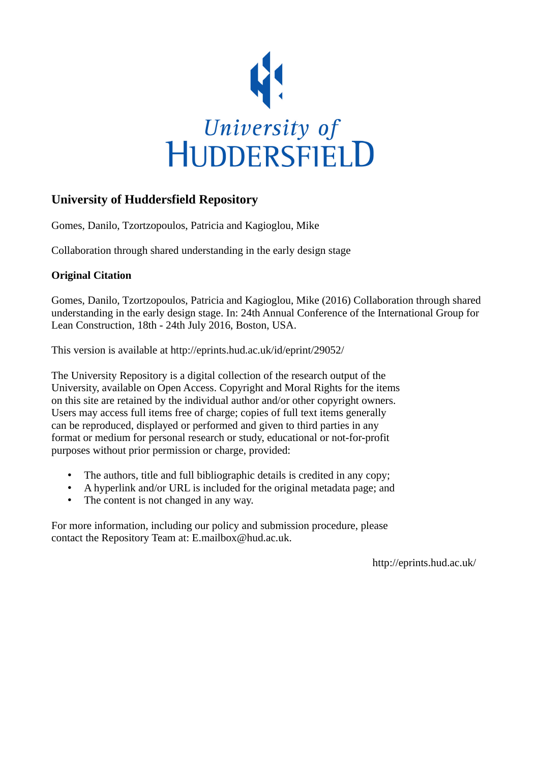

## **University of Huddersfield Repository**

Gomes, Danilo, Tzortzopoulos, Patricia and Kagioglou, Mike

Collaboration through shared understanding in the early design stage

### **Original Citation**

Gomes, Danilo, Tzortzopoulos, Patricia and Kagioglou, Mike (2016) Collaboration through shared understanding in the early design stage. In: 24th Annual Conference of the International Group for Lean Construction, 18th - 24th July 2016, Boston, USA.

This version is available at http://eprints.hud.ac.uk/id/eprint/29052/

The University Repository is a digital collection of the research output of the University, available on Open Access. Copyright and Moral Rights for the items on this site are retained by the individual author and/or other copyright owners. Users may access full items free of charge; copies of full text items generally can be reproduced, displayed or performed and given to third parties in any format or medium for personal research or study, educational or not-for-profit purposes without prior permission or charge, provided:

- The authors, title and full bibliographic details is credited in any copy;
- A hyperlink and/or URL is included for the original metadata page; and
- The content is not changed in any way.

For more information, including our policy and submission procedure, please contact the Repository Team at: E.mailbox@hud.ac.uk.

http://eprints.hud.ac.uk/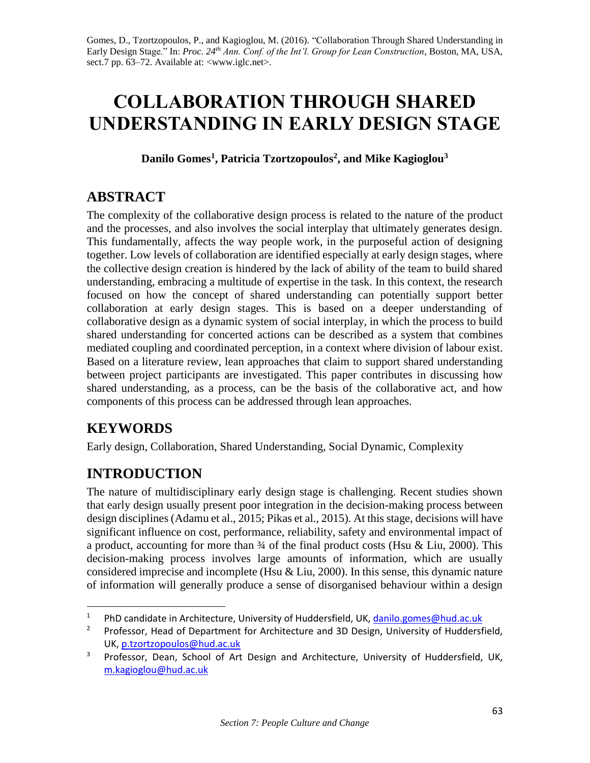Gomes, D., Tzortzopoulos, P., and Kagioglou, M. (2016). "Collaboration Through Shared Understanding in Early Design Stage." In: *Proc. 24th Ann. Conf. of the Int'l. Group for Lean Construction*, Boston, MA, USA, sect.7 pp. 63–72. Available at: <www.iglc.net>.

# **COLLABORATION THROUGH SHARED UNDERSTANDING IN EARLY DESIGN STAGE**

**Danilo Gomes<sup>1</sup> , Patricia Tzortzopoulos<sup>2</sup> , and Mike Kagioglou<sup>3</sup>**

# **ABSTRACT**

The complexity of the collaborative design process is related to the nature of the product and the processes, and also involves the social interplay that ultimately generates design. This fundamentally, affects the way people work, in the purposeful action of designing together. Low levels of collaboration are identified especially at early design stages, where the collective design creation is hindered by the lack of ability of the team to build shared understanding, embracing a multitude of expertise in the task. In this context, the research focused on how the concept of shared understanding can potentially support better collaboration at early design stages. This is based on a deeper understanding of collaborative design as a dynamic system of social interplay, in which the process to build shared understanding for concerted actions can be described as a system that combines mediated coupling and coordinated perception, in a context where division of labour exist. Based on a literature review, lean approaches that claim to support shared understanding between project participants are investigated. This paper contributes in discussing how shared understanding, as a process, can be the basis of the collaborative act, and how components of this process can be addressed through lean approaches.

# **KEYWORDS**

Early design, Collaboration, Shared Understanding, Social Dynamic, Complexity

# **INTRODUCTION**

The nature of multidisciplinary early design stage is challenging. Recent studies shown that early design usually present poor integration in the decision-making process between design disciplines (Adamu et al., 2015; Pikas et al., 2015). At this stage, decisions will have significant influence on cost, performance, reliability, safety and environmental impact of a product, accounting for more than  $\frac{3}{4}$  of the final product costs (Hsu & Liu, 2000). This decision-making process involves large amounts of information, which are usually considered imprecise and incomplete (Hsu & Liu, 2000). In this sense, this dynamic nature of information will generally produce a sense of disorganised behaviour within a design

l <sup>1</sup> PhD candidate in Architecture, University of Huddersfield, UK,  $\frac{\text{d} \text{anilo.gomes} \textcircled{a} \text{hud.ac.uk}}{\text{Professor. Head of Department for Architecture and 3D Design University of Huddersf}}$ 

<sup>2</sup> Professor, Head of Department for Architecture and 3D Design, University of Huddersfield, UK, [p.tzortzopoulos@hud.ac.uk](mailto:p.tzortzopoulos@hud.ac.uk)

<sup>&</sup>lt;sup>3</sup> Professor, Dean, School of Art Design and Architecture, University of Huddersfield, UK, [m.kagioglou@hud.ac.uk](mailto:m.kagioglou@hud.ac.uk)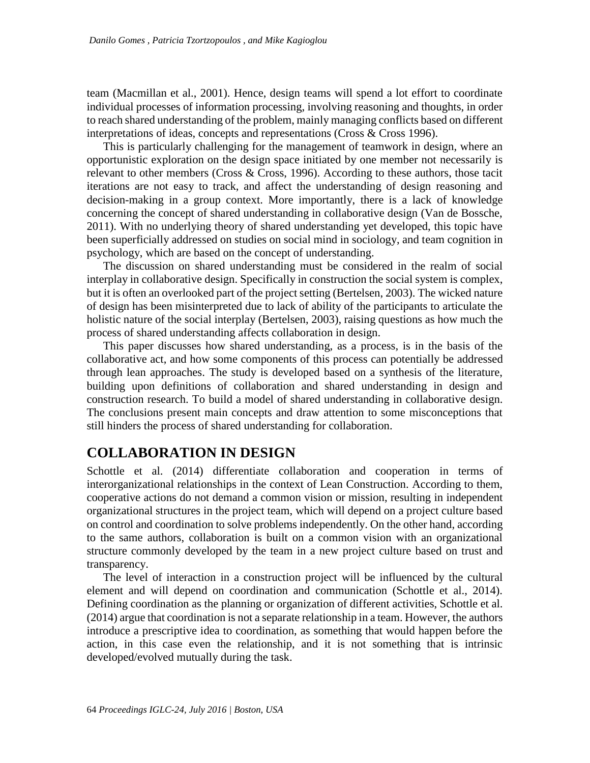team (Macmillan et al., 2001). Hence, design teams will spend a lot effort to coordinate individual processes of information processing, involving reasoning and thoughts, in order to reach shared understanding of the problem, mainly managing conflicts based on different interpretations of ideas, concepts and representations (Cross & Cross 1996).

This is particularly challenging for the management of teamwork in design, where an opportunistic exploration on the design space initiated by one member not necessarily is relevant to other members (Cross & Cross, 1996). According to these authors, those tacit iterations are not easy to track, and affect the understanding of design reasoning and decision-making in a group context. More importantly, there is a lack of knowledge concerning the concept of shared understanding in collaborative design (Van de Bossche, 2011). With no underlying theory of shared understanding yet developed, this topic have been superficially addressed on studies on social mind in sociology, and team cognition in psychology, which are based on the concept of understanding.

The discussion on shared understanding must be considered in the realm of social interplay in collaborative design. Specifically in construction the social system is complex, but it is often an overlooked part of the project setting (Bertelsen, 2003). The wicked nature of design has been misinterpreted due to lack of ability of the participants to articulate the holistic nature of the social interplay (Bertelsen, 2003), raising questions as how much the process of shared understanding affects collaboration in design.

This paper discusses how shared understanding, as a process, is in the basis of the collaborative act, and how some components of this process can potentially be addressed through lean approaches. The study is developed based on a synthesis of the literature, building upon definitions of collaboration and shared understanding in design and construction research. To build a model of shared understanding in collaborative design. The conclusions present main concepts and draw attention to some misconceptions that still hinders the process of shared understanding for collaboration.

# **COLLABORATION IN DESIGN**

Schottle et al. (2014) differentiate collaboration and cooperation in terms of interorganizational relationships in the context of Lean Construction. According to them, cooperative actions do not demand a common vision or mission, resulting in independent organizational structures in the project team, which will depend on a project culture based on control and coordination to solve problems independently. On the other hand, according to the same authors, collaboration is built on a common vision with an organizational structure commonly developed by the team in a new project culture based on trust and transparency.

The level of interaction in a construction project will be influenced by the cultural element and will depend on coordination and communication (Schottle et al., 2014). Defining coordination as the planning or organization of different activities, Schottle et al. (2014) argue that coordination is not a separate relationship in a team. However, the authors introduce a prescriptive idea to coordination, as something that would happen before the action, in this case even the relationship, and it is not something that is intrinsic developed/evolved mutually during the task.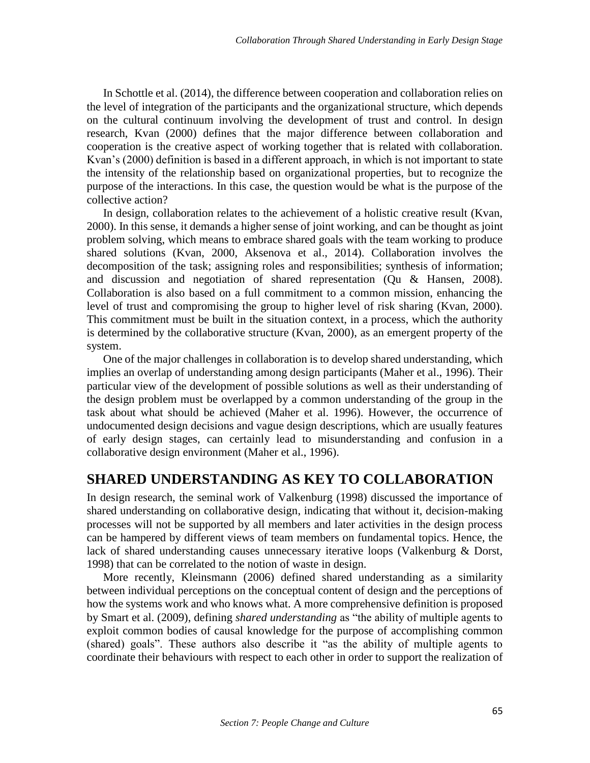In Schottle et al. (2014), the difference between cooperation and collaboration relies on the level of integration of the participants and the organizational structure, which depends on the cultural continuum involving the development of trust and control. In design research, Kvan (2000) defines that the major difference between collaboration and cooperation is the creative aspect of working together that is related with collaboration. Kvan's (2000) definition is based in a different approach, in which is not important to state the intensity of the relationship based on organizational properties, but to recognize the purpose of the interactions. In this case, the question would be what is the purpose of the collective action?

In design, collaboration relates to the achievement of a holistic creative result (Kvan, 2000). In this sense, it demands a higher sense of joint working, and can be thought as joint problem solving, which means to embrace shared goals with the team working to produce shared solutions (Kvan, 2000, Aksenova et al., 2014). Collaboration involves the decomposition of the task; assigning roles and responsibilities; synthesis of information; and discussion and negotiation of shared representation (Qu & Hansen, 2008). Collaboration is also based on a full commitment to a common mission, enhancing the level of trust and compromising the group to higher level of risk sharing (Kvan, 2000). This commitment must be built in the situation context, in a process, which the authority is determined by the collaborative structure (Kvan, 2000), as an emergent property of the system.

One of the major challenges in collaboration is to develop shared understanding, which implies an overlap of understanding among design participants (Maher et al., 1996). Their particular view of the development of possible solutions as well as their understanding of the design problem must be overlapped by a common understanding of the group in the task about what should be achieved (Maher et al. 1996). However, the occurrence of undocumented design decisions and vague design descriptions, which are usually features of early design stages, can certainly lead to misunderstanding and confusion in a collaborative design environment (Maher et al., 1996).

## **SHARED UNDERSTANDING AS KEY TO COLLABORATION**

In design research, the seminal work of Valkenburg (1998) discussed the importance of shared understanding on collaborative design, indicating that without it, decision-making processes will not be supported by all members and later activities in the design process can be hampered by different views of team members on fundamental topics. Hence, the lack of shared understanding causes unnecessary iterative loops (Valkenburg & Dorst, 1998) that can be correlated to the notion of waste in design.

More recently, Kleinsmann (2006) defined shared understanding as a similarity between individual perceptions on the conceptual content of design and the perceptions of how the systems work and who knows what. A more comprehensive definition is proposed by Smart et al. (2009), defining *shared understanding* as "the ability of multiple agents to exploit common bodies of causal knowledge for the purpose of accomplishing common (shared) goals". These authors also describe it "as the ability of multiple agents to coordinate their behaviours with respect to each other in order to support the realization of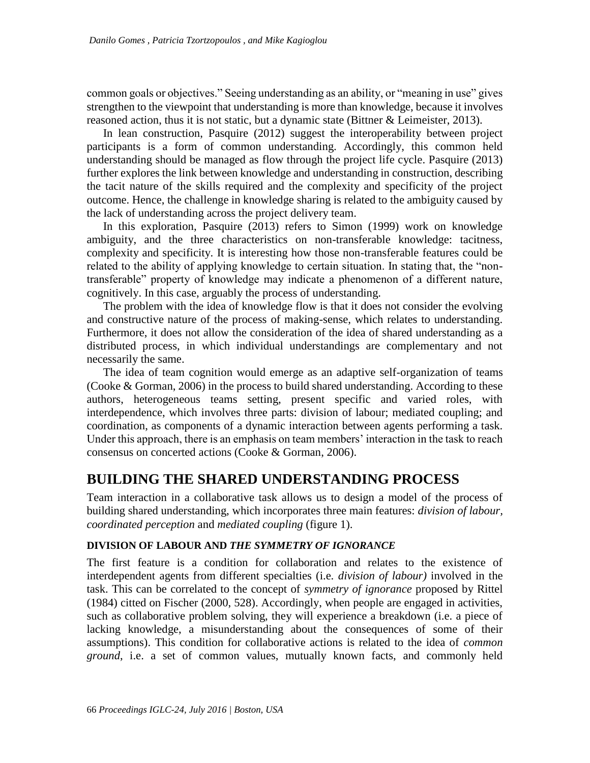common goals or objectives." Seeing understanding as an ability, or "meaning in use" gives strengthen to the viewpoint that understanding is more than knowledge, because it involves reasoned action, thus it is not static, but a dynamic state (Bittner & Leimeister, 2013).

In lean construction, Pasquire (2012) suggest the interoperability between project participants is a form of common understanding. Accordingly, this common held understanding should be managed as flow through the project life cycle. Pasquire (2013) further explores the link between knowledge and understanding in construction, describing the tacit nature of the skills required and the complexity and specificity of the project outcome. Hence, the challenge in knowledge sharing is related to the ambiguity caused by the lack of understanding across the project delivery team.

In this exploration, Pasquire (2013) refers to Simon (1999) work on knowledge ambiguity, and the three characteristics on non-transferable knowledge: tacitness, complexity and specificity. It is interesting how those non-transferable features could be related to the ability of applying knowledge to certain situation. In stating that, the "nontransferable" property of knowledge may indicate a phenomenon of a different nature, cognitively. In this case, arguably the process of understanding.

The problem with the idea of knowledge flow is that it does not consider the evolving and constructive nature of the process of making-sense, which relates to understanding. Furthermore, it does not allow the consideration of the idea of shared understanding as a distributed process, in which individual understandings are complementary and not necessarily the same.

The idea of team cognition would emerge as an adaptive self-organization of teams (Cooke & Gorman, 2006) in the process to build shared understanding. According to these authors, heterogeneous teams setting, present specific and varied roles, with interdependence, which involves three parts: division of labour; mediated coupling; and coordination, as components of a dynamic interaction between agents performing a task. Under this approach, there is an emphasis on team members' interaction in the task to reach consensus on concerted actions (Cooke & Gorman, 2006).

## **BUILDING THE SHARED UNDERSTANDING PROCESS**

Team interaction in a collaborative task allows us to design a model of the process of building shared understanding, which incorporates three main features: *division of labour, coordinated perception* and *mediated coupling* (figure 1).

#### **DIVISION OF LABOUR AND** *THE SYMMETRY OF IGNORANCE*

The first feature is a condition for collaboration and relates to the existence of interdependent agents from different specialties (i.e. *division of labour)* involved in the task. This can be correlated to the concept of *symmetry of ignorance* proposed by Rittel (1984) citted on Fischer (2000, 528). Accordingly, when people are engaged in activities, such as collaborative problem solving, they will experience a breakdown (i.e. a piece of lacking knowledge, a misunderstanding about the consequences of some of their assumptions). This condition for collaborative actions is related to the idea of *common ground*, i.e. a set of common values, mutually known facts, and commonly held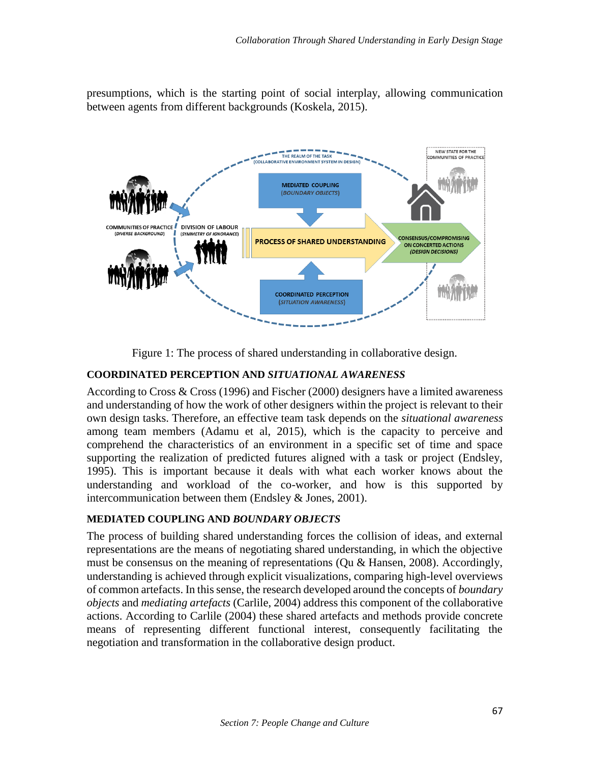presumptions, which is the starting point of social interplay, allowing communication between agents from different backgrounds (Koskela, 2015).



Figure 1: The process of shared understanding in collaborative design.

### **COORDINATED PERCEPTION AND** *SITUATIONAL AWARENESS*

According to Cross & Cross (1996) and Fischer (2000) designers have a limited awareness and understanding of how the work of other designers within the project is relevant to their own design tasks. Therefore, an effective team task depends on the *situational awareness* among team members (Adamu et al, 2015), which is the capacity to perceive and comprehend the characteristics of an environment in a specific set of time and space supporting the realization of predicted futures aligned with a task or project (Endsley, 1995). This is important because it deals with what each worker knows about the understanding and workload of the co-worker, and how is this supported by intercommunication between them (Endsley & Jones, 2001).

### **MEDIATED COUPLING AND** *BOUNDARY OBJECTS*

The process of building shared understanding forces the collision of ideas, and external representations are the means of negotiating shared understanding, in which the objective must be consensus on the meaning of representations (Qu & Hansen, 2008). Accordingly, understanding is achieved through explicit visualizations, comparing high-level overviews of common artefacts. In this sense, the research developed around the concepts of *boundary objects* and *mediating artefacts* (Carlile, 2004) address this component of the collaborative actions. According to Carlile (2004) these shared artefacts and methods provide concrete means of representing different functional interest, consequently facilitating the negotiation and transformation in the collaborative design product.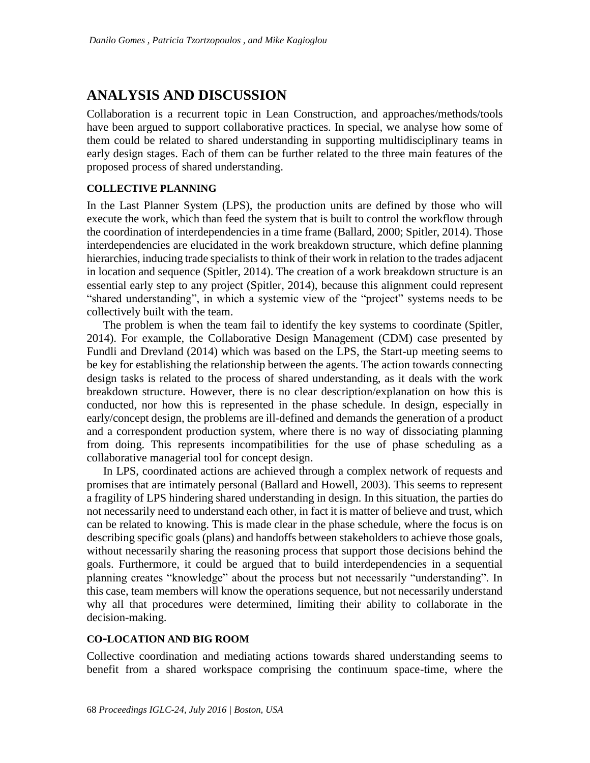## **ANALYSIS AND DISCUSSION**

Collaboration is a recurrent topic in Lean Construction, and approaches/methods/tools have been argued to support collaborative practices. In special, we analyse how some of them could be related to shared understanding in supporting multidisciplinary teams in early design stages. Each of them can be further related to the three main features of the proposed process of shared understanding.

#### **COLLECTIVE PLANNING**

In the Last Planner System (LPS), the production units are defined by those who will execute the work, which than feed the system that is built to control the workflow through the coordination of interdependencies in a time frame (Ballard, 2000; Spitler, 2014). Those interdependencies are elucidated in the work breakdown structure, which define planning hierarchies, inducing trade specialists to think of their work in relation to the trades adjacent in location and sequence (Spitler, 2014). The creation of a work breakdown structure is an essential early step to any project (Spitler, 2014), because this alignment could represent "shared understanding", in which a systemic view of the "project" systems needs to be collectively built with the team.

The problem is when the team fail to identify the key systems to coordinate (Spitler, 2014). For example, the Collaborative Design Management (CDM) case presented by Fundli and Drevland (2014) which was based on the LPS, the Start-up meeting seems to be key for establishing the relationship between the agents. The action towards connecting design tasks is related to the process of shared understanding, as it deals with the work breakdown structure. However, there is no clear description/explanation on how this is conducted, nor how this is represented in the phase schedule. In design, especially in early/concept design, the problems are ill-defined and demands the generation of a product and a correspondent production system, where there is no way of dissociating planning from doing. This represents incompatibilities for the use of phase scheduling as a collaborative managerial tool for concept design.

In LPS, coordinated actions are achieved through a complex network of requests and promises that are intimately personal (Ballard and Howell, 2003). This seems to represent a fragility of LPS hindering shared understanding in design. In this situation, the parties do not necessarily need to understand each other, in fact it is matter of believe and trust, which can be related to knowing. This is made clear in the phase schedule, where the focus is on describing specific goals (plans) and handoffs between stakeholders to achieve those goals, without necessarily sharing the reasoning process that support those decisions behind the goals. Furthermore, it could be argued that to build interdependencies in a sequential planning creates "knowledge" about the process but not necessarily "understanding". In this case, team members will know the operations sequence, but not necessarily understand why all that procedures were determined, limiting their ability to collaborate in the decision-making.

#### **CO-LOCATION AND BIG ROOM**

Collective coordination and mediating actions towards shared understanding seems to benefit from a shared workspace comprising the continuum space-time, where the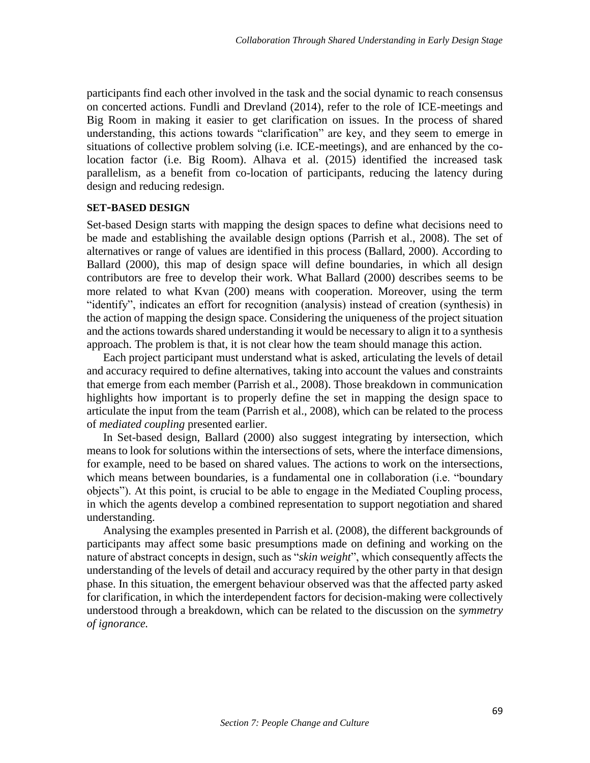participants find each other involved in the task and the social dynamic to reach consensus on concerted actions. Fundli and Drevland (2014), refer to the role of ICE-meetings and Big Room in making it easier to get clarification on issues. In the process of shared understanding, this actions towards "clarification" are key, and they seem to emerge in situations of collective problem solving (i.e. ICE-meetings), and are enhanced by the colocation factor (i.e. Big Room). Alhava et al. (2015) identified the increased task parallelism, as a benefit from co-location of participants, reducing the latency during design and reducing redesign.

#### **SET-BASED DESIGN**

Set-based Design starts with mapping the design spaces to define what decisions need to be made and establishing the available design options (Parrish et al., 2008). The set of alternatives or range of values are identified in this process (Ballard, 2000). According to Ballard (2000), this map of design space will define boundaries, in which all design contributors are free to develop their work. What Ballard (2000) describes seems to be more related to what Kvan (200) means with cooperation. Moreover, using the term "identify", indicates an effort for recognition (analysis) instead of creation (synthesis) in the action of mapping the design space. Considering the uniqueness of the project situation and the actions towards shared understanding it would be necessary to align it to a synthesis approach. The problem is that, it is not clear how the team should manage this action.

Each project participant must understand what is asked, articulating the levels of detail and accuracy required to define alternatives, taking into account the values and constraints that emerge from each member (Parrish et al., 2008). Those breakdown in communication highlights how important is to properly define the set in mapping the design space to articulate the input from the team (Parrish et al., 2008), which can be related to the process of *mediated coupling* presented earlier.

In Set-based design, Ballard (2000) also suggest integrating by intersection, which means to look for solutions within the intersections of sets, where the interface dimensions, for example, need to be based on shared values. The actions to work on the intersections, which means between boundaries, is a fundamental one in collaboration (i.e. "boundary objects"). At this point, is crucial to be able to engage in the Mediated Coupling process, in which the agents develop a combined representation to support negotiation and shared understanding.

Analysing the examples presented in Parrish et al. (2008), the different backgrounds of participants may affect some basic presumptions made on defining and working on the nature of abstract concepts in design, such as "*skin weight*", which consequently affects the understanding of the levels of detail and accuracy required by the other party in that design phase. In this situation, the emergent behaviour observed was that the affected party asked for clarification, in which the interdependent factors for decision-making were collectively understood through a breakdown, which can be related to the discussion on the *symmetry of ignorance.*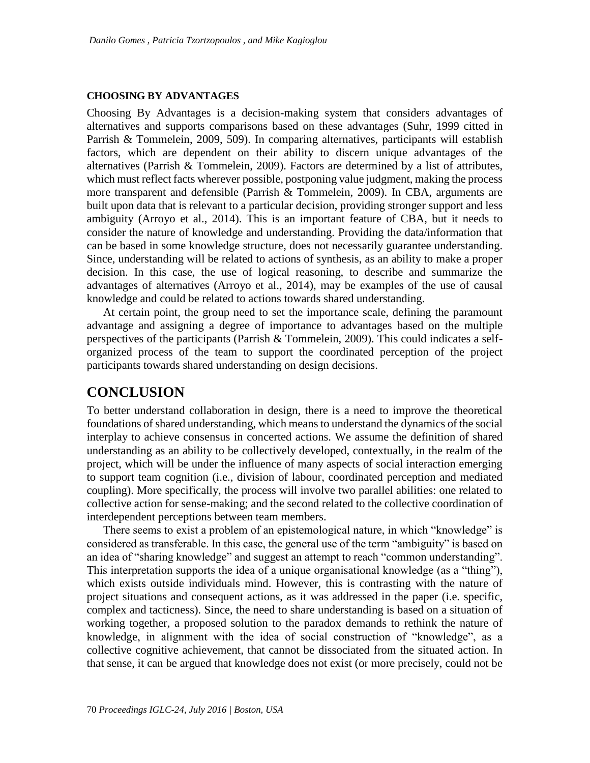#### **CHOOSING BY ADVANTAGES**

Choosing By Advantages is a decision-making system that considers advantages of alternatives and supports comparisons based on these advantages (Suhr, 1999 citted in Parrish & Tommelein, 2009, 509). In comparing alternatives, participants will establish factors, which are dependent on their ability to discern unique advantages of the alternatives (Parrish & Tommelein, 2009). Factors are determined by a list of attributes, which must reflect facts wherever possible, postponing value judgment, making the process more transparent and defensible (Parrish  $\&$  Tommelein, 2009). In CBA, arguments are built upon data that is relevant to a particular decision, providing stronger support and less ambiguity (Arroyo et al., 2014). This is an important feature of CBA, but it needs to consider the nature of knowledge and understanding. Providing the data/information that can be based in some knowledge structure, does not necessarily guarantee understanding. Since, understanding will be related to actions of synthesis, as an ability to make a proper decision. In this case, the use of logical reasoning, to describe and summarize the advantages of alternatives (Arroyo et al., 2014), may be examples of the use of causal knowledge and could be related to actions towards shared understanding.

At certain point, the group need to set the importance scale, defining the paramount advantage and assigning a degree of importance to advantages based on the multiple perspectives of the participants (Parrish & Tommelein, 2009). This could indicates a selforganized process of the team to support the coordinated perception of the project participants towards shared understanding on design decisions.

## **CONCLUSION**

To better understand collaboration in design, there is a need to improve the theoretical foundations of shared understanding, which means to understand the dynamics of the social interplay to achieve consensus in concerted actions. We assume the definition of shared understanding as an ability to be collectively developed, contextually, in the realm of the project, which will be under the influence of many aspects of social interaction emerging to support team cognition (i.e., division of labour, coordinated perception and mediated coupling). More specifically, the process will involve two parallel abilities: one related to collective action for sense-making; and the second related to the collective coordination of interdependent perceptions between team members.

There seems to exist a problem of an epistemological nature, in which "knowledge" is considered as transferable. In this case, the general use of the term "ambiguity" is based on an idea of "sharing knowledge" and suggest an attempt to reach "common understanding". This interpretation supports the idea of a unique organisational knowledge (as a "thing"), which exists outside individuals mind. However, this is contrasting with the nature of project situations and consequent actions, as it was addressed in the paper (i.e. specific, complex and tacticness). Since, the need to share understanding is based on a situation of working together, a proposed solution to the paradox demands to rethink the nature of knowledge, in alignment with the idea of social construction of "knowledge", as a collective cognitive achievement, that cannot be dissociated from the situated action. In that sense, it can be argued that knowledge does not exist (or more precisely, could not be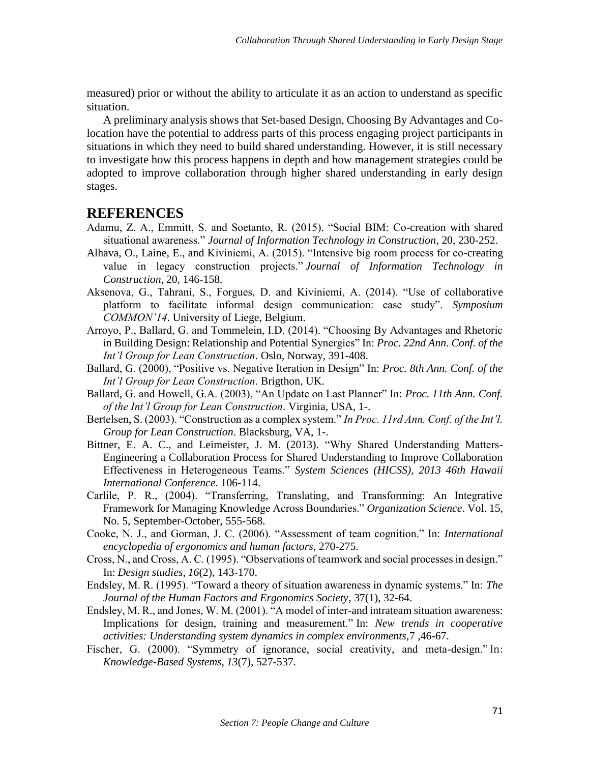measured) prior or without the ability to articulate it as an action to understand as specific situation.

A preliminary analysis shows that Set-based Design, Choosing By Advantages and Colocation have the potential to address parts of this process engaging project participants in situations in which they need to build shared understanding. However, it is still necessary to investigate how this process happens in depth and how management strategies could be adopted to improve collaboration through higher shared understanding in early design stages.

## **REFERENCES**

- Adamu, Z. A., Emmitt, S. and Soetanto, R. (2015). "Social BIM: Co-creation with shared situational awareness." *Journal of Information Technology in Construction*, 20, 230-252.
- Alhava, O., Laine, E., and Kiviniemi, A. (2015). "Intensive big room process for co-creating value in legacy construction projects." *Journal of Information Technology in Construction*, 20, 146-158.
- Aksenova, G., Tahrani, S., Forgues, D. and Kiviniemi, A. (2014). "Use of collaborative platform to facilitate informal design communication: case study". *Symposium COMMON'14*. University of Liege, Belgium.
- Arroyo, P., Ballard, G. and Tommelein, I.D. (2014). "Choosing By Advantages and Rhetoric in Building Design: Relationship and Potential Synergies" In: *Proc. 22nd Ann. Conf. of the Int'l Group for Lean Construction*. Oslo, Norway, 391-408.
- Ballard, G. (2000), "Positive vs. Negative Iteration in Design" In: *Proc. 8th Ann. Conf. of the Int'l Group for Lean Construction*. Brigthon, UK.
- Ballard, G. and Howell, G.A. (2003), "An Update on Last Planner" In: *Proc. 11th Ann. Conf. of the Int'l Group for Lean Construction*. Virginia, USA, 1-.
- Bertelsen, S. (2003). "Construction as a complex system." *In Proc. 11rd Ann. Conf. of the Int'l. Group for Lean Construction*. Blacksburg, VA, 1-.
- Bittner, E. A. C., and Leimeister, J. M. (2013). "Why Shared Understanding Matters-Engineering a Collaboration Process for Shared Understanding to Improve Collaboration Effectiveness in Heterogeneous Teams." *System Sciences (HICSS), 2013 46th Hawaii International Conference*. 106-114.
- Carlile, P. R., (2004). "Transferring, Translating, and Transforming: An Integrative Framework for Managing Knowledge Across Boundaries." *Organization Science*. Vol. 15, No. 5, September-October, 555-568.
- Cooke, N. J., and Gorman, J. C. (2006). "Assessment of team cognition." In: *International encyclopedia of ergonomics and human factors*, 270-275.
- Cross, N., and Cross, A. C. (1995). "Observations of teamwork and social processes in design." In: *Design studies*, *16*(2), 143-170.
- Endsley, M. R. (1995). "Toward a theory of situation awareness in dynamic systems." In: *The Journal of the Human Factors and Ergonomics Society*, 37(1), 32-64.
- Endsley, M. R., and Jones, W. M. (2001). "A model of inter-and intrateam situation awareness: Implications for design, training and measurement." In: *New trends in cooperative activities: Understanding system dynamics in complex environments,*7 ,46-67.
- Fischer, G. (2000). "Symmetry of ignorance, social creativity, and meta-design." In: *Knowledge-Based Systems*, *13*(7), 527-537.